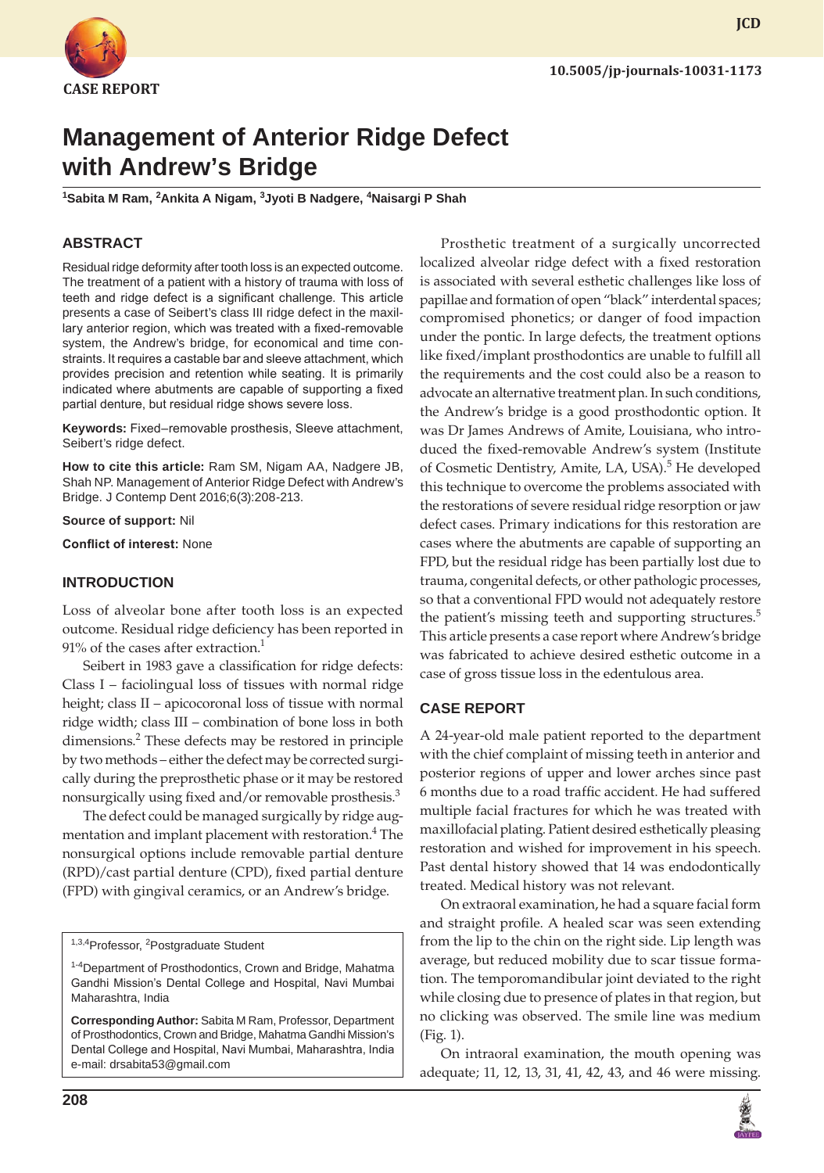

**JCD**

# **Management of Anterior Ridge Defect with Andrew's Bridge**

**1 Sabita M Ram, 2 Ankita A Nigam, 3 Jyoti B Nadgere, 4 Naisargi P Shah**

# **ABSTRACT**

Residual ridge deformity after tooth loss is an expected outcome. The treatment of a patient with a history of trauma with loss of teeth and ridge defect is a significant challenge. This article presents a case of Seibert's class III ridge defect in the maxillary anterior region, which was treated with a fixed-removable system, the Andrew's bridge, for economical and time constraints. It requires a castable bar and sleeve attachment, which provides precision and retention while seating. It is primarily indicated where abutments are capable of supporting a fixed partial denture, but residual ridge shows severe loss.

**Keywords:** Fixed–removable prosthesis, Sleeve attachment, Seibert's ridge defect.

**How to cite this article:** Ram SM, Nigam AA, Nadgere JB, Shah NP. Management of Anterior Ridge Defect with Andrew's Bridge. J Contemp Dent 2016;6(3):208-213.

**Source of support:** Nil

**Conflict of interest:** None

#### **INTRODUCTION**

Loss of alveolar bone after tooth loss is an expected outcome. Residual ridge deficiency has been reported in 91% of the cases after extraction.<sup>1</sup>

Seibert in 1983 gave a classification for ridge defects: Class I – faciolingual loss of tissues with normal ridge height; class II – apicocoronal loss of tissue with normal ridge width; class III – combination of bone loss in both dimensions.2 These defects may be restored in principle by two methods – either the defect may be corrected surgically during the preprosthetic phase or it may be restored nonsurgically using fixed and/or removable prosthesis.<sup>3</sup>

The defect could be managed surgically by ridge augmentation and implant placement with restoration.<sup>4</sup> The nonsurgical options include removable partial denture (RPD)/cast partial denture (CPD), fixed partial denture (FPD) with gingival ceramics, or an Andrew's bridge.

<sup>1,3,4</sup>Professor, <sup>2</sup>Postgraduate Student

Prosthetic treatment of a surgically uncorrected localized alveolar ridge defect with a fixed restoration is associated with several esthetic challenges like loss of papillae and formation of open "black" interdental spaces; compromised phonetics; or danger of food impaction under the pontic. In large defects, the treatment options like fixed/implant prosthodontics are unable to fulfill all the requirements and the cost could also be a reason to advocate an alternative treatment plan. In such conditions, the Andrew's bridge is a good prosthodontic option. It was Dr James Andrews of Amite, Louisiana, who introduced the fixed-removable Andrew's system (Institute of Cosmetic Dentistry, Amite, LA, USA).<sup>5</sup> He developed this technique to overcome the problems associated with the restorations of severe residual ridge resorption or jaw defect cases. Primary indications for this restoration are cases where the abutments are capable of supporting an FPD, but the residual ridge has been partially lost due to trauma, congenital defects, or other pathologic processes, so that a conventional FPD would not adequately restore the patient's missing teeth and supporting structures.<sup>5</sup> This article presents a case report where Andrew's bridge was fabricated to achieve desired esthetic outcome in a case of gross tissue loss in the edentulous area.

#### **CASE REPORT**

A 24-year-old male patient reported to the department with the chief complaint of missing teeth in anterior and posterior regions of upper and lower arches since past 6 months due to a road traffic accident. He had suffered multiple facial fractures for which he was treated with maxillofacial plating. Patient desired esthetically pleasing restoration and wished for improvement in his speech. Past dental history showed that 14 was endodontically treated. Medical history was not relevant.

On extraoral examination, he had a square facial form and straight profile. A healed scar was seen extending from the lip to the chin on the right side. Lip length was average, but reduced mobility due to scar tissue formation. The temporomandibular joint deviated to the right while closing due to presence of plates in that region, but no clicking was observed. The smile line was medium (Fig. 1).

On intraoral examination, the mouth opening was adequate; 11, 12, 13, 31, 41, 42, 43, and 46 were missing.



<sup>&</sup>lt;sup>1-4</sup>Department of Prosthodontics, Crown and Bridge, Mahatma Gandhi Mission's Dental College and Hospital, Navi Mumbai Maharashtra, India

**Corresponding Author:** Sabita M Ram, Professor, Department of Prosthodontics, Crown and Bridge, Mahatma Gandhi Mission's Dental College and Hospital, Navi Mumbai, Maharashtra, India e-mail: drsabita53@gmail.com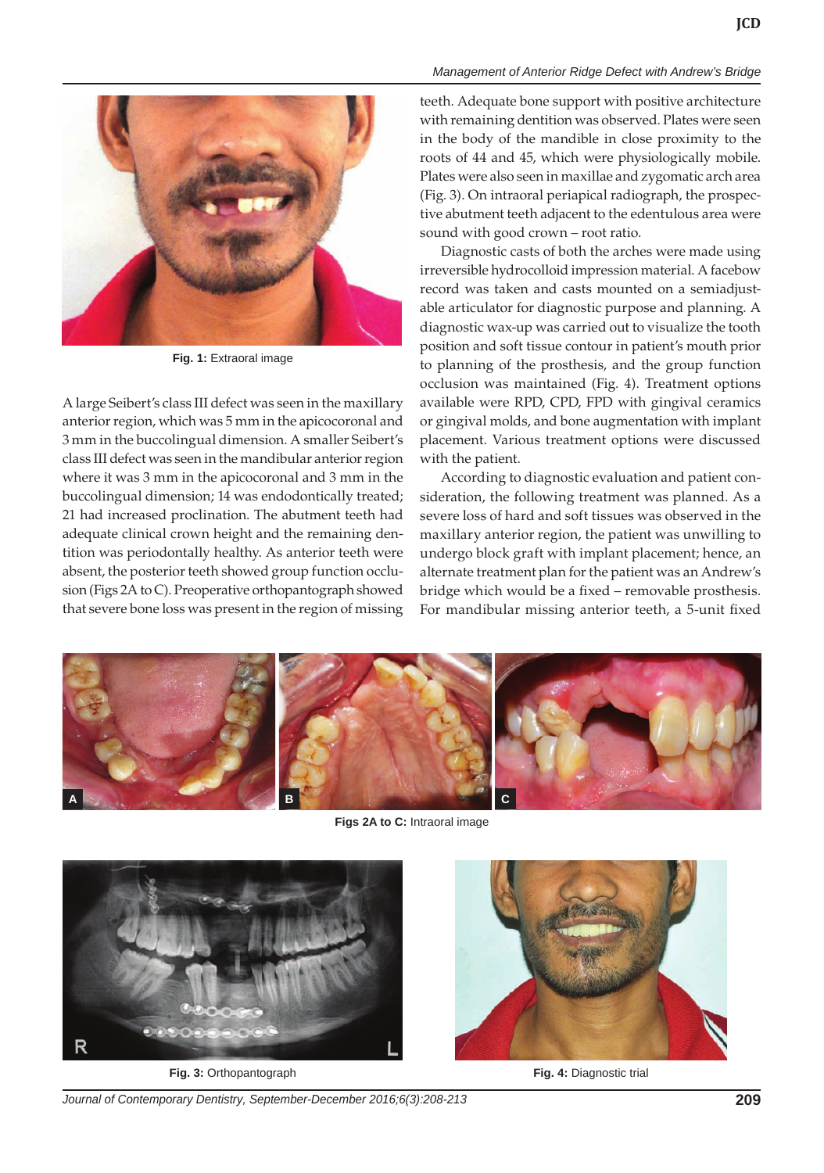

**Fig. 1:** Extraoral image

A large Seibert's class III defect was seen in the maxillary anterior region, which was 5 mm in the apicocoronal and 3 mm in the buccolingual dimension. A smaller Seibert's class III defect was seen in the mandibular anterior region where it was 3 mm in the apicocoronal and 3 mm in the buccolingual dimension; 14 was endodontically treated; 21 had increased proclination. The abutment teeth had adequate clinical crown height and the remaining dentition was periodontally healthy. As anterior teeth were absent, the posterior teeth showed group function occlusion (Figs 2A to C). Preoperative orthopantograph showed that severe bone loss was present in the region of missing

#### *Management of Anterior Ridge Defect with Andrew's Bridge*

teeth. Adequate bone support with positive architecture with remaining dentition was observed. Plates were seen in the body of the mandible in close proximity to the roots of 44 and 45, which were physiologically mobile. Plates were also seen in maxillae and zygomatic arch area (Fig. 3). On intraoral periapical radiograph, the prospective abutment teeth adjacent to the edentulous area were sound with good crown – root ratio.

Diagnostic casts of both the arches were made using irreversible hydrocolloid impression material. A facebow record was taken and casts mounted on a semiadjustable articulator for diagnostic purpose and planning. A diagnostic wax-up was carried out to visualize the tooth position and soft tissue contour in patient's mouth prior to planning of the prosthesis, and the group function occlusion was maintained (Fig. 4). Treatment options available were RPD, CPD, FPD with gingival ceramics or gingival molds, and bone augmentation with implant placement. Various treatment options were discussed with the patient.

According to diagnostic evaluation and patient consideration, the following treatment was planned. As a severe loss of hard and soft tissues was observed in the maxillary anterior region, the patient was unwilling to undergo block graft with implant placement; hence, an alternate treatment plan for the patient was an Andrew's bridge which would be a fixed – removable prosthesis. For mandibular missing anterior teeth, a 5-unit fixed



**Figs 2A to C:** Intraoral image





**Fig. 3:** Orthopantograph **Fig. 4:** Diagnostic trial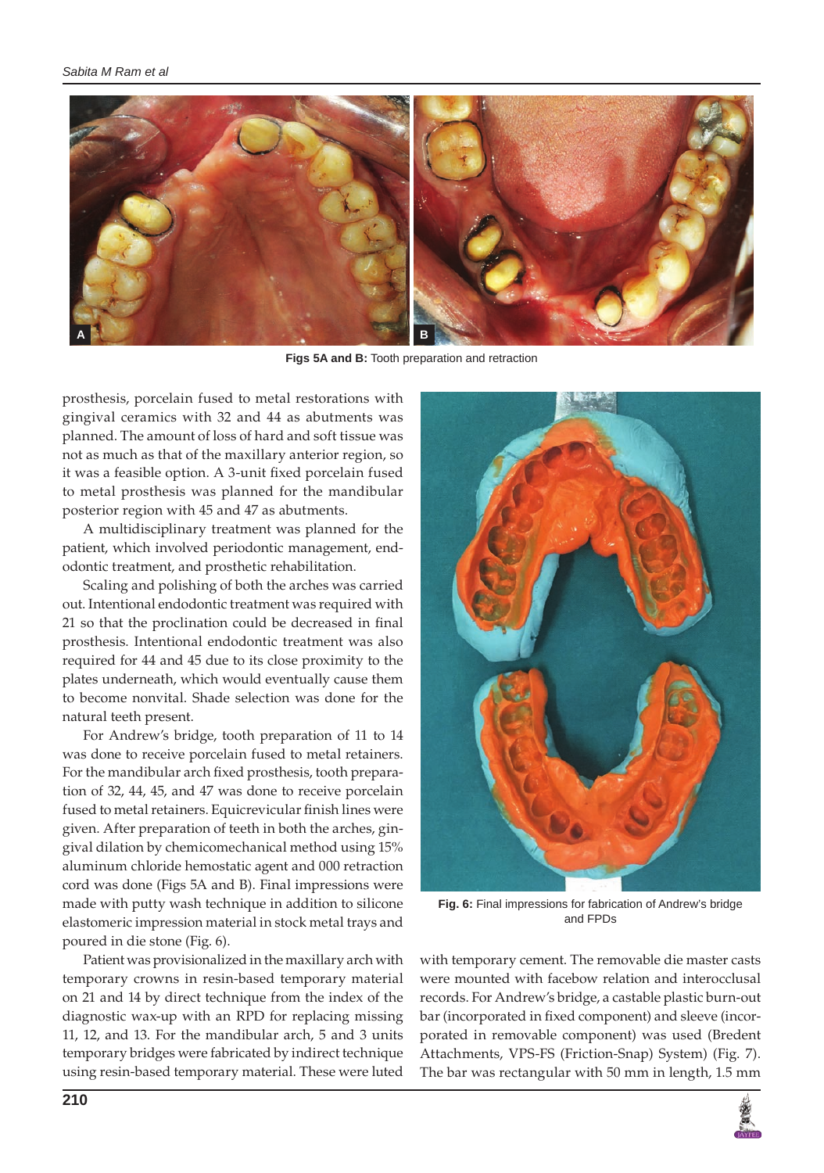

**Figs 5A and B:** Tooth preparation and retraction

prosthesis, porcelain fused to metal restorations with gingival ceramics with 32 and 44 as abutments was planned. The amount of loss of hard and soft tissue was not as much as that of the maxillary anterior region, so it was a feasible option. A 3-unit fixed porcelain fused to metal prosthesis was planned for the mandibular posterior region with 45 and 47 as abutments.

A multidisciplinary treatment was planned for the patient, which involved periodontic management, endodontic treatment, and prosthetic rehabilitation.

Scaling and polishing of both the arches was carried out. Intentional endodontic treatment was required with 21 so that the proclination could be decreased in final prosthesis. Intentional endodontic treatment was also required for 44 and 45 due to its close proximity to the plates underneath, which would eventually cause them to become nonvital. Shade selection was done for the natural teeth present.

For Andrew's bridge, tooth preparation of 11 to 14 was done to receive porcelain fused to metal retainers. For the mandibular arch fixed prosthesis, tooth preparation of 32, 44, 45, and 47 was done to receive porcelain fused to metal retainers. Equicrevicular finish lines were given. After preparation of teeth in both the arches, gingival dilation by chemicomechanical method using 15% aluminum chloride hemostatic agent and 000 retraction cord was done (Figs 5A and B). Final impressions were made with putty wash technique in addition to silicone elastomeric impression material in stock metal trays and poured in die stone (Fig. 6).

Patient was provisionalized in the maxillary arch with temporary crowns in resin-based temporary material on 21 and 14 by direct technique from the index of the diagnostic wax-up with an RPD for replacing missing 11, 12, and 13. For the mandibular arch, 5 and 3 units temporary bridges were fabricated by indirect technique using resin-based temporary material. These were luted



**Fig. 6:** Final impressions for fabrication of Andrew's bridge and FPDs

with temporary cement. The removable die master casts were mounted with facebow relation and interocclusal records. For Andrew's bridge, a castable plastic burn-out bar (incorporated in fixed component) and sleeve (incorporated in removable component) was used (Bredent Attachments, VPS-FS (Friction-Snap) System) (Fig. 7). The bar was rectangular with 50 mm in length, 1.5 mm

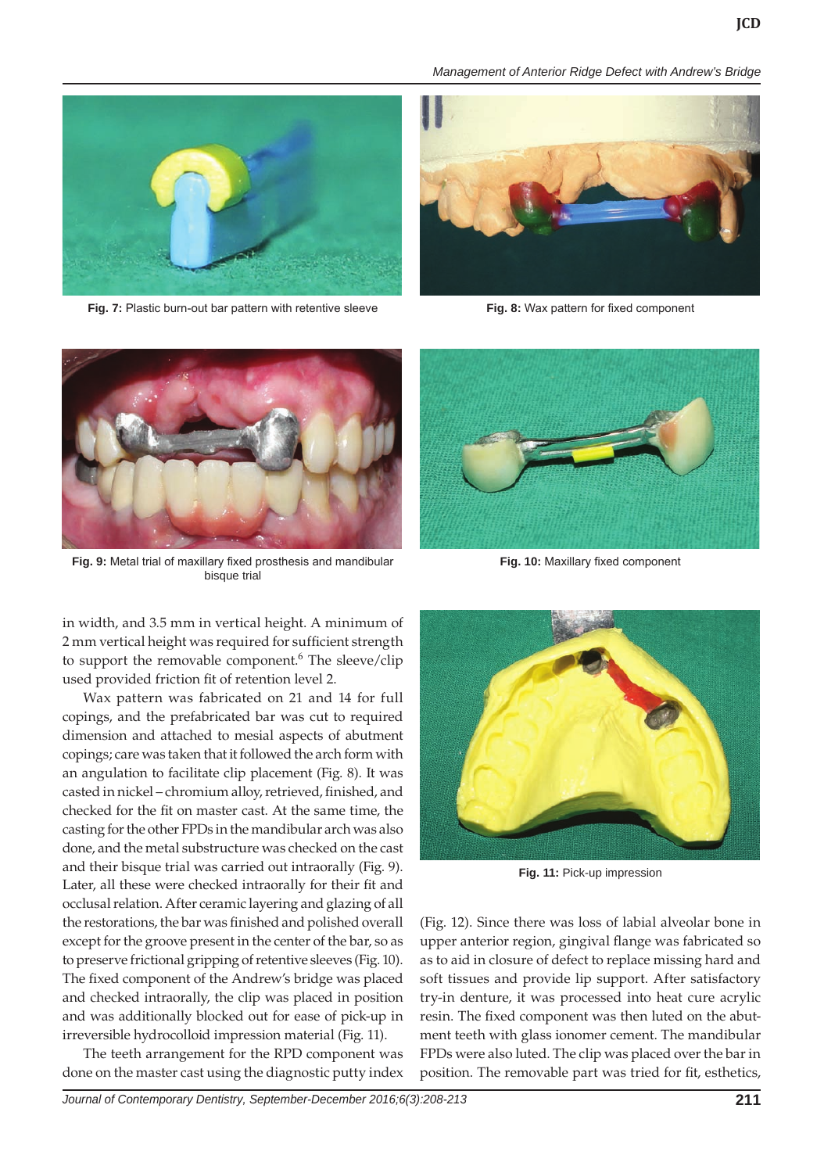



**Fig. 7:** Plastic burn-out bar pattern with retentive sleeve **Fig. 8:** Wax pattern for fixed component





**Fig. 9:** Metal trial of maxillary fixed prosthesis and mandibular bisque trial

in width, and 3.5 mm in vertical height. A minimum of 2 mm vertical height was required for sufficient strength to support the removable component.<sup>6</sup> The sleeve/clip used provided friction fit of retention level 2.

Wax pattern was fabricated on 21 and 14 for full copings, and the prefabricated bar was cut to required dimension and attached to mesial aspects of abutment copings; care was taken that it followed the arch form with an angulation to facilitate clip placement (Fig. 8). It was casted in nickel – chromium alloy, retrieved, finished, and checked for the fit on master cast. At the same time, the casting for the other FPDs in the mandibular arch was also done, and the metal substructure was checked on the cast and their bisque trial was carried out intraorally (Fig. 9). Later, all these were checked intraorally for their fit and occlusal relation. After ceramic layering and glazing of all the restorations, the bar was finished and polished overall except for the groove present in the center of the bar, so as to preserve frictional gripping of retentive sleeves (Fig. 10). The fixed component of the Andrew's bridge was placed and checked intraorally, the clip was placed in position and was additionally blocked out for ease of pick-up in irreversible hydrocolloid impression material (Fig. 11).

The teeth arrangement for the RPD component was done on the master cast using the diagnostic putty index



**Fig. 10:** Maxillary fixed component



**Fig. 11:** Pick-up impression

(Fig. 12). Since there was loss of labial alveolar bone in upper anterior region, gingival flange was fabricated so as to aid in closure of defect to replace missing hard and soft tissues and provide lip support. After satisfactory try-in denture, it was processed into heat cure acrylic resin. The fixed component was then luted on the abutment teeth with glass ionomer cement. The mandibular FPDs were also luted. The clip was placed over the bar in position. The removable part was tried for fit, esthetics,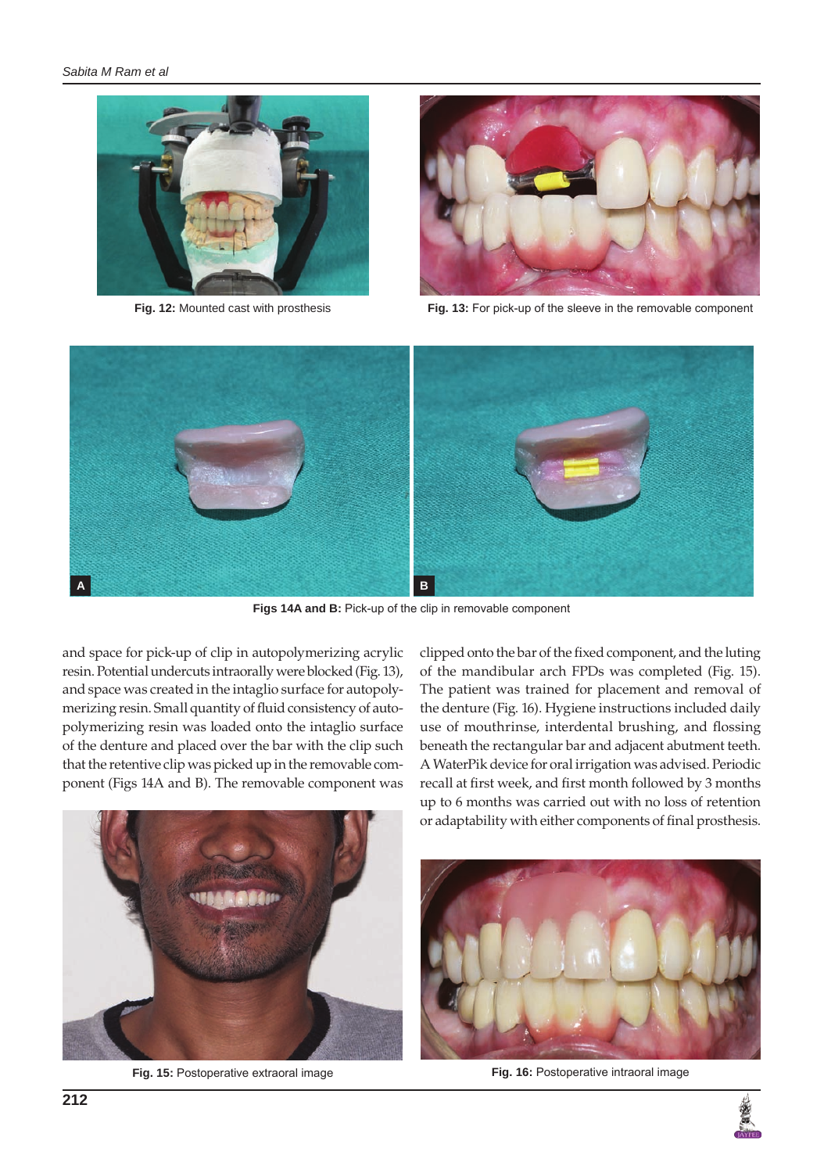



**Fig. 12:** Mounted cast with prosthesis **Fig. 13:** For pick-up of the sleeve in the removable component



**Figs 14A and B:** Pick-up of the clip in removable component

and space for pick-up of clip in autopolymerizing acrylic resin. Potential undercuts intraorally were blocked (Fig. 13), and space was created in the intaglio surface for autopolymerizing resin. Small quantity of fluid consistency of autopolymerizing resin was loaded onto the intaglio surface of the denture and placed over the bar with the clip such that the retentive clip was picked up in the removable component (Figs 14A and B). The removable component was

clipped onto the bar of the fixed component, and the luting of the mandibular arch FPDs was completed (Fig. 15). The patient was trained for placement and removal of the denture (Fig. 16). Hygiene instructions included daily use of mouthrinse, interdental brushing, and flossing beneath the rectangular bar and adjacent abutment teeth. A WaterPik device for oral irrigation was advised. Periodic recall at first week, and first month followed by 3 months up to 6 months was carried out with no loss of retention or adaptability with either components of final prosthesis.



**Fig. 15:** Postoperative extraoral image



**Fig. 16:** Postoperative intraoral image